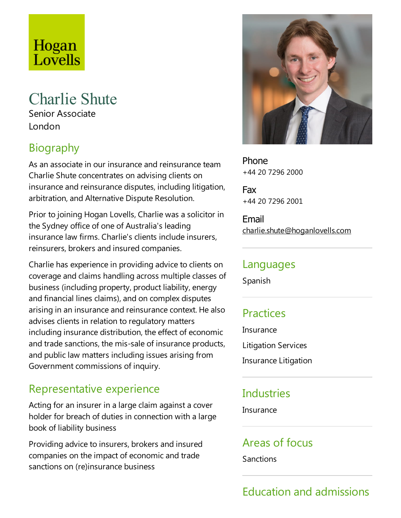# Hogan Lovells

# Charlie Shute

Senior Associate London

# Biography

As an associate in our insurance and reinsurance team Charlie Shute concentrates on advising clients on insurance and reinsurance disputes, including litigation, arbitration, and Alternative Dispute Resolution.

Prior to joining Hogan Lovells, Charlie was a solicitor in the Sydney office of one of Australia's leading insurance law firms. Charlie's clients include insurers, reinsurers, brokers and insured companies.

Charlie has experience in providing advice to clients on coverage and claims handling across multiple classes of business (including property, product liability, energy and financial lines claims), and on complex disputes arising in an insurance and reinsurance context. He also advises clients in relation to regulatory matters including insurance distribution, the effect of economic and trade sanctions, the mis-sale of insurance products, and public law matters including issues arising from Government commissions of inquiry.

### Representative experience

Acting for an insurer in a large claim against a cover holder for breach of duties in connection with a large book of liability business

Providing advice to insurers, brokers and insured companies on the impact of economic and trade sanctions on (re)insurance business



Phone +44 20 7296 2000

Fax +44 20 7296 2001

Email charlie.shute@hoganlovells.com

#### Languages

Spanish

## **Practices**

**Insurance** Litigation Services Insurance Litigation

# **Industries**

**Insurance** 

### Areas of focus

Sanctions

# Education and admissions